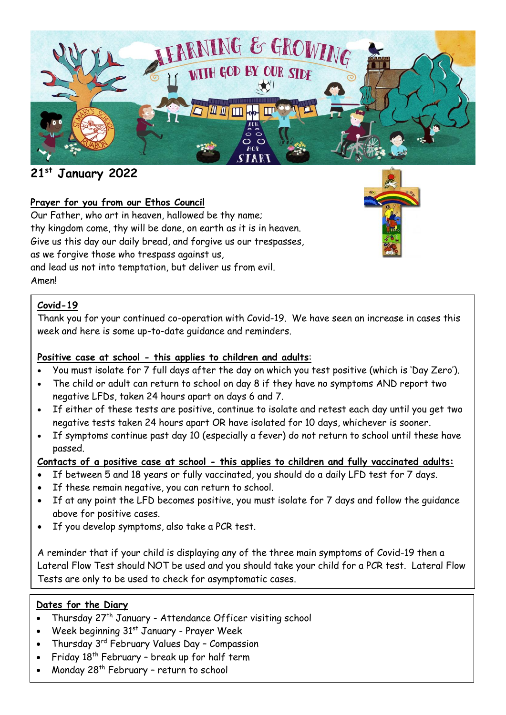

# **21st January 2022**

## **Prayer for you from our Ethos Council**

Our Father, who art in heaven, hallowed be thy name; thy kingdom come, thy will be done, on earth as it is in heaven. Give us this day our daily bread, and forgive us our trespasses, as we forgive those who trespass against us, and lead us not into temptation, but deliver us from evil. Amen!

## **Covid-19**

Thank you for your continued co-operation with Covid-19. We have seen an increase in cases this week and here is some up-to-date guidance and reminders.

### **Positive case at school - this applies to children and adults**:

- You must isolate for 7 full days after the day on which you test positive (which is 'Day Zero').
- The child or adult can return to school on day 8 if they have no symptoms AND report two negative LFDs, taken 24 hours apart on days 6 and 7.
- If either of these tests are positive, continue to isolate and retest each day until you get two negative tests taken 24 hours apart OR have isolated for 10 days, whichever is sooner.
- If symptoms continue past day 10 (especially a fever) do not return to school until these have passed.

#### **Contacts of a positive case at school - this applies to children and fully vaccinated adults:**

- If between 5 and 18 years or fully vaccinated, you should do a daily LFD test for 7 days.
- If these remain negative, you can return to school.
- If at any point the LFD becomes positive, you must isolate for 7 days and follow the guidance above for positive cases.
- If you develop symptoms, also take a PCR test.

A reminder that if your child is displaying any of the three main symptoms of Covid-19 then a Lateral Flow Test should NOT be used and you should take your child for a PCR test. Lateral Flow Tests are only to be used to check for asymptomatic cases.

#### **Dates for the Diary**

- Thursday 27<sup>th</sup> January Attendance Officer visiting school
- Week beginning 31<sup>st</sup> January Prayer Week
- Thursday 3<sup>rd</sup> February Values Day Compassion
- Friday  $18<sup>th</sup>$  February break up for half term
- Monday 28<sup>th</sup> February return to school